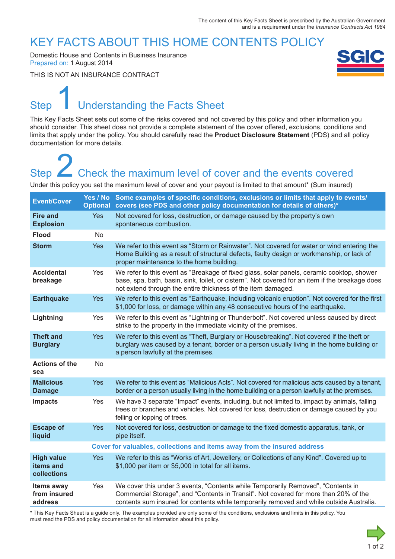### KEY FACTS ABOUT THIS HOME CONTENTS POLICY

Domestic House and Contents in Business Insurance Prepared on: 1 August 2014

THIS IS NOT AN INSURANCE CONTRACT



# Step Understanding the Facts Sheet 1

This Key Facts Sheet sets out some of the risks covered and not covered by this policy and other information you should consider. This sheet does not provide a complete statement of the cover offered, exclusions, conditions and limits that apply under the policy. You should carefully read the **Product Disclosure Statement** (PDS) and all policy documentation for more details.

# Step **Check the maximum level of cover and the events covered** Step<br>
2 Check the maximum level of cover and the events covered<br>
Under this policy you set the maximum level of cover and your payout is limited to that amount\* (Sum insured)

| <b>Event/Cover</b>                            |                                                                          | Yes / No Some examples of specific conditions, exclusions or limits that apply to events/<br>Optional covers (see PDS and other policy documentation for details of others)*                                                                                         |
|-----------------------------------------------|--------------------------------------------------------------------------|----------------------------------------------------------------------------------------------------------------------------------------------------------------------------------------------------------------------------------------------------------------------|
| <b>Fire and</b><br><b>Explosion</b>           | <b>Yes</b>                                                               | Not covered for loss, destruction, or damage caused by the property's own<br>spontaneous combustion.                                                                                                                                                                 |
| <b>Flood</b>                                  | No                                                                       |                                                                                                                                                                                                                                                                      |
| <b>Storm</b>                                  | <b>Yes</b>                                                               | We refer to this event as "Storm or Rainwater". Not covered for water or wind entering the<br>Home Building as a result of structural defects, faulty design or workmanship, or lack of<br>proper maintenance to the home building.                                  |
| <b>Accidental</b><br>breakage                 | Yes                                                                      | We refer to this event as "Breakage of fixed glass, solar panels, ceramic cooktop, shower<br>base, spa, bath, basin, sink, toilet, or cistern". Not covered for an item if the breakage does<br>not extend through the entire thickness of the item damaged.         |
| <b>Earthquake</b>                             | <b>Yes</b>                                                               | We refer to this event as "Earthquake, including volcanic eruption". Not covered for the first<br>\$1,000 for loss, or damage within any 48 consecutive hours of the earthquake.                                                                                     |
| Lightning                                     | Yes                                                                      | We refer to this event as "Lightning or Thunderbolt". Not covered unless caused by direct<br>strike to the property in the immediate vicinity of the premises.                                                                                                       |
| <b>Theft and</b><br><b>Burglary</b>           | <b>Yes</b>                                                               | We refer to this event as "Theft, Burglary or Housebreaking". Not covered if the theft or<br>burglary was caused by a tenant, border or a person usually living in the home building or<br>a person lawfully at the premises.                                        |
| <b>Actions of the</b><br>sea                  | <b>No</b>                                                                |                                                                                                                                                                                                                                                                      |
| <b>Malicious</b><br><b>Damage</b>             | <b>Yes</b>                                                               | We refer to this event as "Malicious Acts". Not covered for malicious acts caused by a tenant,<br>border or a person usually living in the home building or a person lawfully at the premises.                                                                       |
| <b>Impacts</b>                                | Yes                                                                      | We have 3 separate "Impact" events, including, but not limited to, impact by animals, falling<br>trees or branches and vehicles. Not covered for loss, destruction or damage caused by you<br>felling or lopping of trees.                                           |
| <b>Escape of</b><br>liquid                    | <b>Yes</b>                                                               | Not covered for loss, destruction or damage to the fixed domestic apparatus, tank, or<br>pipe itself.                                                                                                                                                                |
|                                               | Cover for valuables, collections and items away from the insured address |                                                                                                                                                                                                                                                                      |
| <b>High value</b><br>items and<br>collections | <b>Yes</b>                                                               | We refer to this as "Works of Art, Jewellery, or Collections of any Kind". Covered up to<br>\$1,000 per item or \$5,000 in total for all items.                                                                                                                      |
| Items away<br>from insured<br>address         | Yes                                                                      | We cover this under 3 events, "Contents while Temporarily Removed", "Contents in<br>Commercial Storage", and "Contents in Transit". Not covered for more than 20% of the<br>contents sum insured for contents while temporarily removed and while outside Australia. |

\* This Key Facts Sheet is a guide only. The examples provided are only some of the conditions, exclusions and limits in this policy. You must read the PDS and policy documentation for all information about this policy.